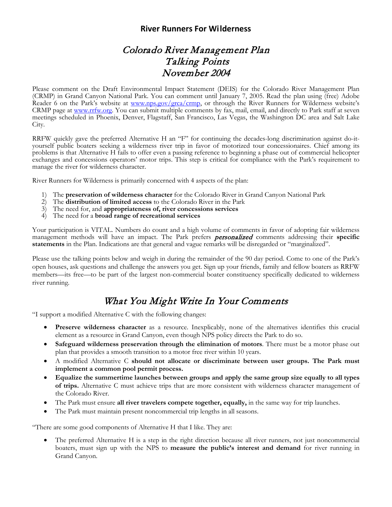## **River Runners For Wilderness**

## Colorado River Management Plan Talking Points November 2004

Please comment on the Draft Environmental Impact Statement (DEIS) for the Colorado River Management Plan (CRMP) in Grand Canyon National Park. You can comment until January 7, 2005. Read the plan using (free) Adobe Reader 6 on the Park's website at www.nps.gov/grca/crmp, or through the River Runners for Wilderness website's CRMP page at [www.rrfw.org.](http://www.rrfw.org/) You can submit multiple comments by fax, mail, email, and directly to Park staff at seven meetings scheduled in Phoenix, Denver, Flagstaff, San Francisco, Las Vegas, the Washington DC area and Salt Lake City.

RRFW quickly gave the preferred Alternative H an "F" for continuing the decades-long discrimination against do-it-<br>yourself public boaters seeking a wilderness river trip in favor of motorized tour concessionaires. Chief a problems is that Alternative H fails to offer even a passing reference to beginning a phase out of commercial helicopter exchanges and concessions operators' motor trips. This step is critical for compliance with the Park's requirement to manage the river for wilderness character.

River Runners for Wilderness is primarily concerned with 4 aspects of the plan:

- 1) The **preservation of wilderness character** for the Colorado River in Grand Canyon National Park
- 2) The **distribution of limited access** to the Colorado River in the Park
- 3) The need for, and **appropriateness of, river concessions services**
- 4) The need for a **broad range of recreational services**

Your participation is VITAL. Numbers do count and a high volume of comments in favor of adopting fair wilderness management methods will have an impact. The Park prefers personalized comments addressing their **specific statements** in the Plan. Indications are that general and vague remarks will be disregarded or "marginalized".

Please use the talking points below and weigh in during the remainder of the 90 day period. Come to one of the Park's open houses, ask questions and challenge the answers you get. Sign up your friends, family and fellow boaters as RRFW members—its free—to be part of the largest non-commercial boater constituency specifically dedicated to wilderness river running.

## What You Might Write In Your Comments

"I support a modified Alternative C with the following changes:

- **Preserve wilderness character** as a resource. Inexplicably, none of the alternatives identifies this crucial element as a resource in Grand Canyon, even though NPS policy directs the Park to do so.
- **Safeguard wilderness preservation through the elimination of motors**. There must be a motor phase out plan that provides a smooth transition to a motor free river within 10 years.
- A modified Alternative C **should not allocate or discriminate between user groups. The Park must implement a common pool permit process.**
- **Equalize the summertime launches between groups and apply the same group size equally to all types of trips.** Alternative C must achieve trips that are more consistent with wilderness character management of the Colorado River.
- The Park must ensure **all river travelers compete together, equally,** in the same way for trip launches.
- The Park must maintain present noncommercial trip lengths in all seasons.

"There are some good components of Alternative H that I like. They are:

• The preferred Alternative H is a step in the right direction because all river runners, not just noncommercial boaters, must sign up with the NPS to **measure the public's interest and demand** for river running in Grand Canyon.